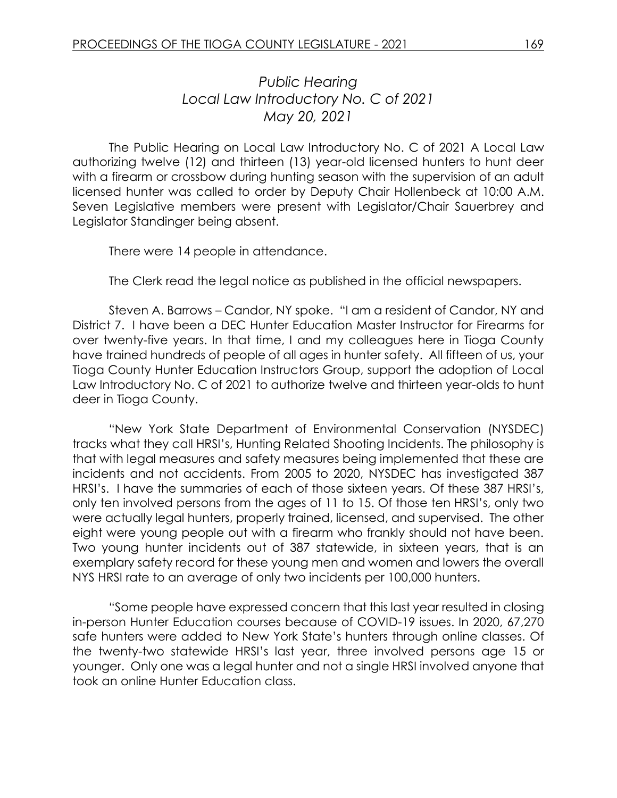## *Public Hearing Local Law Introductory No. C of 2021 May 20, 2021*

The Public Hearing on Local Law Introductory No. C of 2021 A Local Law authorizing twelve (12) and thirteen (13) year-old licensed hunters to hunt deer with a firearm or crossbow during hunting season with the supervision of an adult licensed hunter was called to order by Deputy Chair Hollenbeck at 10:00 A.M. Seven Legislative members were present with Legislator/Chair Sauerbrey and Legislator Standinger being absent.

There were 14 people in attendance.

The Clerk read the legal notice as published in the official newspapers.

Steven A. Barrows – Candor, NY spoke. "I am a resident of Candor, NY and District 7. I have been a DEC Hunter Education Master Instructor for Firearms for over twenty-five years. In that time, I and my colleagues here in Tioga County have trained hundreds of people of all ages in hunter safety. All fifteen of us, your Tioga County Hunter Education Instructors Group, support the adoption of Local Law Introductory No. C of 2021 to authorize twelve and thirteen year-olds to hunt deer in Tioga County.

"New York State Department of Environmental Conservation (NYSDEC) tracks what they call HRSI's, Hunting Related Shooting Incidents. The philosophy is that with legal measures and safety measures being implemented that these are incidents and not accidents. From 2005 to 2020, NYSDEC has investigated 387 HRSI's. I have the summaries of each of those sixteen years. Of these 387 HRSI's, only ten involved persons from the ages of 11 to 15. Of those ten HRSI's, only two were actually legal hunters, properly trained, licensed, and supervised. The other eight were young people out with a firearm who frankly should not have been. Two young hunter incidents out of 387 statewide, in sixteen years, that is an exemplary safety record for these young men and women and lowers the overall NYS HRSI rate to an average of only two incidents per 100,000 hunters.

"Some people have expressed concern that this last year resulted in closing in-person Hunter Education courses because of COVID-19 issues. In 2020, 67,270 safe hunters were added to New York State's hunters through online classes. Of the twenty-two statewide HRSI's last year, three involved persons age 15 or younger. Only one was a legal hunter and not a single HRSI involved anyone that took an online Hunter Education class.